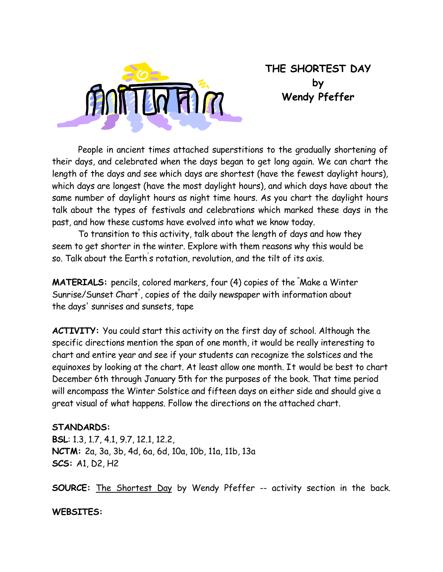

# **THE SHORTEST DAY by Wendy Pfeffer**

 People in ancient times attached superstitions to the gradually shortening of their days, and celebrated when the days began to get long again. We can chart the length of the days and see which days are shortest (have the fewest daylight hours), which days are longest (have the most daylight hours), and which days have about the same number of daylight hours as night time hours. As you chart the daylight hours talk about the types of festivals and celebrations which marked these days in the past, and how these customs have evolved into what we know today.

 To transition to this activity, talk about the length of days and how they seem to get shorter in the winter. Explore with them reasons why this would be so. Talk about the Earth' s rotation, revolution, and the tilt of its axis.

**MATERIALS:** pencils, colored markers, four (4) copies of the " Make a Winter Sunrise/Sunset Chart" , copies of the daily newspaper with information about the days' sunrises and sunsets, tape

**ACTIVITY:** You could start this activity on the first day of school. Although the specific directions mention the span of one month, it would be really interesting to chart and entire year and see if your students can recognize the solstices and the equinoxes by looking at the chart. At least allow one month. It would be best to chart December 6th through January 5th for the purposes of the book. That time period will encompass the Winter Solstice and fifteen days on either side and should give a great visual of what happens. Follow the directions on the attached chart.

#### **STANDARDS:**

**BSL**: 1.3, 1.7, 4.1, 9.7, 12.1, 12.2, **NCTM:** 2a, 3a, 3b, 4d, 6a, 6d, 10a, 10b, 11a, 11b, 13a **SCS:** A1, D2, H2

**SOURCE:** The Shortest Day by Wendy Pfeffer -- activity section in the back.

#### **WEBSITES:**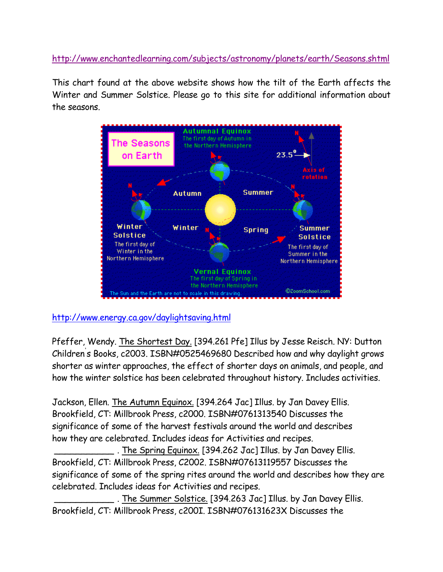http://www.enchantedlearning.com/subjects/astronomy/planets/earth/Seasons.shtml

This chart found at the above website shows how the tilt of the Earth affects the Winter and Summer Solstice. Please go to this site for additional information about the seasons.



### http://www.energy.ca.gov/daylightsaving.html

Pfeffer, Wendy. The Shortest Day. [394.261 Pfe] Illus by Jesse Reisch. NY: Dutton Children' s Books, c2003. ISBN#0525469680 Described how and why daylight grows shorter as winter approaches, the effect of shorter days on animals, and people, and how the winter solstice has been celebrated throughout history. Includes activities.

Jackson, Ellen. The Autumn Equinox. [394.264 Jac] Illus. by Jan Davey Ellis. Brookfield, CT: Millbrook Press, c2000. ISBN#0761313540 Discusses the significance of some of the harvest festivals around the world and describes how they are celebrated. Includes ideas for Activities and recipes.

\_\_\_\_\_\_\_\_\_\_\_ . The Spring Equinox. [394.262 Jac] Illus. by Jan Davey Ellis. Brookfield, CT: Millbrook Press, C2002. ISBN#07613119557 Discusses the significance of some of the spring rites around the world and describes how they are celebrated. Includes ideas for Activities and recipes.

. The Summer Solstice. [394.263 Jac] Illus. by Jan Davey Ellis. Brookfield, CT: Millbrook Press, c200I. ISBN#076131623X Discusses the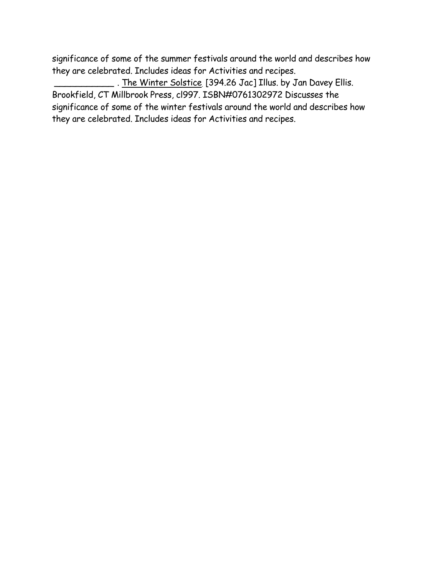significance of some of the summer festivals around the world and describes how they are celebrated. Includes ideas for Activities and recipes.

\_ . <u>The Winter Solstice</u> [394.26 Jac] Illus. by Jan Davey Ellis. Brookfield, CT Millbrook Press, cl997. ISBN#0761302972 Discusses the significance of some of the winter festivals around the world and describes how they are celebrated. Includes ideas for Activities and recipes.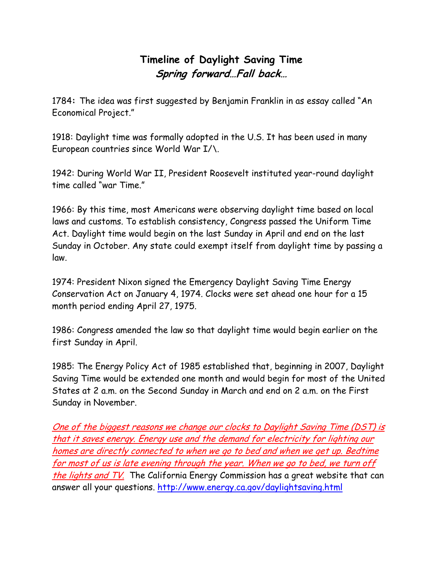# **Timeline of Daylight Saving Time Spring forward…Fall back…**

1784**:** The idea was first suggested by Benjamin Franklin in as essay called "An Economical Project."

1918: Daylight time was formally adopted in the U.S. It has been used in many European countries since World War I/\.

1942: During World War II, President Roosevelt instituted year-round daylight time called "war Time."

1966: By this time, most Americans were observing daylight time based on local laws and customs. To establish consistency, Congress passed the Uniform Time Act. Daylight time would begin on the last Sunday in April and end on the last Sunday in October. Any state could exempt itself from daylight time by passing a law.

1974: President Nixon signed the Emergency Daylight Saving Time Energy Conservation Act on January 4, 1974. Clocks were set ahead one hour for a 15 month period ending April 27, 1975.

1986: Congress amended the law so that daylight time would begin earlier on the first Sunday in April.

1985: The Energy Policy Act of 1985 established that, beginning in 2007, Daylight Saving Time would be extended one month and would begin for most of the United States at 2 a.m. on the Second Sunday in March and end on 2 a.m. on the First Sunday in November.

One of the biggest reasons we change our clocks to Daylight Saving Time (DST) is that it saves energy. Energy use and the demand for electricity for lighting our homes are directly connected to when we go to bed and when we get up. Bedtime for most of us is late evening through the year. When we go to bed, we turn off the lights and TV. The California Energy Commission has a great website that can answer all your questions. http://www.energy.ca.gov/daylightsaving.html